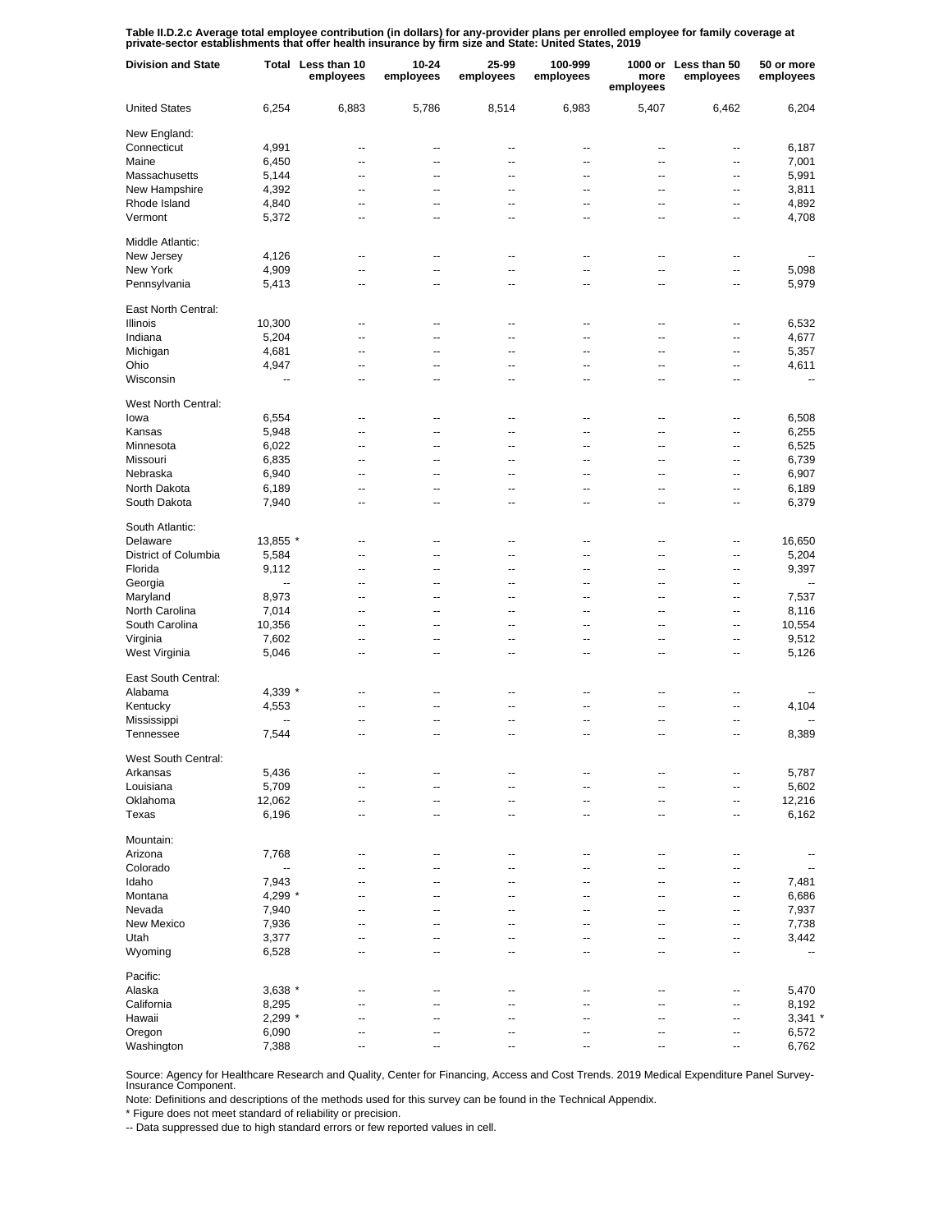Table II.D.2.c Average total employee contribution (in dollars) for any-provider plans per enrolled employee for family coverage at<br>private-sector establishments that offer health insurance by firm size and State: United S

| <b>Division and State</b> |           | Total Less than 10<br>employees | 10-24<br>employees | 25-99<br>employees | 100-999<br>employees | more<br>employees        | 1000 or Less than 50<br>employees | 50 or more<br>employees  |
|---------------------------|-----------|---------------------------------|--------------------|--------------------|----------------------|--------------------------|-----------------------------------|--------------------------|
| <b>United States</b>      | 6,254     | 6,883                           | 5,786              | 8,514              | 6,983                | 5,407                    | 6,462                             | 6,204                    |
| New England:              |           |                                 |                    |                    |                      |                          |                                   |                          |
| Connecticut               | 4,991     | --                              | --                 | ٠.                 | --                   | --                       | --                                | 6,187                    |
| Maine                     | 6,450     | --                              | --                 | --                 | --                   | --                       | --                                | 7,001                    |
| Massachusetts             | 5,144     | --                              | --                 | --                 | --                   | --                       | --                                | 5,991                    |
| New Hampshire             | 4,392     | --                              | --                 | --                 | --                   | --                       | --                                | 3,811                    |
| Rhode Island              | 4,840     | --                              | --                 | --                 | --                   | --                       | --                                | 4,892                    |
| Vermont                   | 5,372     | --                              | --                 | --                 | --                   | --                       | --                                | 4,708                    |
| Middle Atlantic:          |           |                                 |                    |                    |                      |                          |                                   |                          |
| New Jersey                | 4,126     | --                              | --                 | ٠.                 | --                   | ц.                       | ٠.                                |                          |
| New York                  | 4,909     | --                              | --                 | ٠.                 | --                   | --                       | --                                | 5,098                    |
| Pennsylvania              | 5,413     | --                              | --                 | --                 | --                   | --                       | --                                | 5,979                    |
| East North Central:       |           |                                 |                    |                    |                      |                          |                                   |                          |
| Illinois                  | 10,300    | $\overline{a}$                  | --                 | $\overline{a}$     | $\overline{a}$       | $\overline{a}$           | ٠.                                | 6,532                    |
| Indiana                   | 5,204     | --                              | -−                 | ц.                 | ۵.                   | ц,                       | --                                | 4,677                    |
| Michigan                  | 4,681     | ۵.                              | -−                 | ц.                 | ۵.                   | ц,                       | --                                | 5,357                    |
| Ohio                      | 4,947     | --                              | --                 | $\overline{a}$     | --                   | --                       | --                                | 4,611                    |
|                           |           | $\overline{a}$                  | --                 | $\overline{a}$     | $\overline{a}$       | $\overline{a}$           | ٠.                                |                          |
| Wisconsin                 | --        |                                 |                    |                    |                      |                          |                                   |                          |
| West North Central:       |           |                                 |                    |                    |                      |                          |                                   |                          |
| lowa                      | 6,554     | --                              | --                 | ٠.                 | --                   | --                       | --                                | 6,508                    |
| Kansas                    | 5,948     | --                              | --                 | ٠.                 | --                   | --                       | --                                | 6,255                    |
| Minnesota                 | 6,022     | --                              | --                 | $\overline{a}$     | --                   | --                       | --                                | 6,525                    |
| Missouri                  | 6,835     | --                              | --                 | --                 | --                   | --                       | --                                | 6,739                    |
| Nebraska                  | 6,940     | --                              | --                 | --                 | --                   | --                       | --                                | 6,907                    |
| North Dakota              | 6,189     | --                              | --                 | --                 | --                   | --                       | --                                | 6,189                    |
| South Dakota              | 7,940     | --                              | --                 | ٠.                 | --                   | --                       | --                                | 6,379                    |
|                           |           |                                 |                    |                    |                      |                          |                                   |                          |
| South Atlantic:           |           |                                 |                    |                    |                      |                          |                                   |                          |
| Delaware                  | 13,855 *  | --                              | --                 | ٠.                 | --                   | ц.                       | --                                | 16,650                   |
| District of Columbia      | 5,584     | --                              | --                 | --                 | --                   | --                       | --                                | 5,204                    |
| Florida                   | 9,112     | --                              | --                 | ٠.                 | --                   | ц.                       | --                                | 9,397                    |
| Georgia                   | --        | --                              | --                 | ٠.                 | --                   | ц.                       | --                                | $\overline{\phantom{a}}$ |
| Maryland                  | 8,973     | --                              | --                 | ٠.                 | --                   | ٠.                       | --                                | 7,537                    |
| North Carolina            | 7,014     | --                              | --                 | ٠.                 | --                   | ц.                       | --                                | 8,116                    |
| South Carolina            | 10,356    | --                              | --                 | --                 | --                   | ٠.                       | --                                | 10,554                   |
| Virginia                  | 7,602     | --                              | --                 | ٠.                 | --                   | ٠.                       | ٠.                                | 9,512                    |
| West Virginia             | 5,046     | --                              | --                 | --                 | --                   | ٠.                       | ٠.                                | 5,126                    |
| East South Central:       |           |                                 |                    |                    |                      |                          |                                   |                          |
| Alabama                   | 4,339 *   | $\overline{a}$                  | --                 | $\overline{a}$     | $\overline{a}$       | --                       | $\overline{a}$                    |                          |
| Kentucky                  | 4,553     | $\overline{a}$                  | $\overline{a}$     | $\overline{a}$     | $\overline{a}$       | $\overline{a}$           | ٠.                                | 4,104                    |
| Mississippi               |           | $\overline{a}$                  | --                 | $\overline{a}$     | $\overline{a}$       | $\overline{a}$           | $\overline{a}$                    |                          |
| Tennessee                 | 7,544     | $\overline{a}$                  | --                 | $\overline{a}$     | $\overline{a}$       | $\overline{a}$           | $\overline{a}$                    | 8,389                    |
| West South Central:       |           |                                 |                    |                    |                      |                          |                                   |                          |
| Arkansas                  | 5,436     | --                              | --                 | --                 | --                   | --                       | --                                | 5,787                    |
| Louisiana                 | 5,709     | --                              | --                 | --                 | --                   | --                       | --                                | 5,602                    |
| Oklahoma                  | 12,062    | --                              | --                 | --                 | --                   | --                       | --                                | 12,216                   |
| Texas                     | 6,196     | --                              | --                 | --                 | --                   | --                       | --                                | 6,162                    |
|                           |           |                                 |                    |                    |                      |                          |                                   |                          |
| Mountain:                 |           |                                 |                    |                    |                      |                          |                                   |                          |
| Arizona                   | 7,768     | --                              | --                 | ٠.                 | --                   | ц.                       | ٠.                                |                          |
| Colorado                  | -−        | --                              | --                 | ٠.                 | --                   | ٠.                       | ٠.                                | $\overline{a}$           |
| Idaho                     | 7,943     | --                              | --                 | ٠.                 | --                   | ц.                       | --                                | 7,481                    |
| Montana                   | 4,299 *   | --                              | --                 | --                 | --                   | ٠.                       | --                                | 6,686                    |
| Nevada                    | 7,940     |                                 | --                 |                    | --                   | ٠.                       | ٠.                                | 7,937                    |
| New Mexico                | 7,936     | --                              | --                 | --                 |                      | ٠.                       | --                                | 7,738                    |
| Utah                      | 3,377     | --                              | --                 | ٠.                 | --                   | ц.                       | --                                | 3,442                    |
| Wyoming                   | 6,528     | --                              | --                 | ٠.                 | --                   | ٠.                       | --                                | $\overline{\phantom{a}}$ |
|                           |           |                                 |                    |                    |                      |                          |                                   |                          |
| Pacific:                  |           |                                 |                    |                    |                      |                          |                                   |                          |
| Alaska                    | $3,638$ * | $\overline{a}$                  | --                 | $\overline{a}$     | $\overline{a}$       | $\overline{a}$           | --                                | 5,470                    |
| California                | 8,295     | $\overline{a}$                  | --                 | --                 | --                   | ÷-                       | $\overline{a}$                    | 8,192                    |
| Hawaii                    | $2,299$ * | $\overline{a}$                  | $\overline{a}$     | $\overline{a}$     | $\overline{a}$       | $\overline{\phantom{a}}$ | --                                | $3,341$ *                |
| Oregon                    | 6,090     | --                              | --                 | --                 | --                   | --                       | ۵.                                | 6,572                    |
| Washington                | 7,388     | --                              | --                 | --                 | --                   | ÷-                       | $\overline{a}$                    | 6,762                    |

Source: Agency for Healthcare Research and Quality, Center for Financing, Access and Cost Trends. 2019 Medical Expenditure Panel Survey-Insurance Component.

Note: Definitions and descriptions of the methods used for this survey can be found in the Technical Appendix.

\* Figure does not meet standard of reliability or precision.

-- Data suppressed due to high standard errors or few reported values in cell.